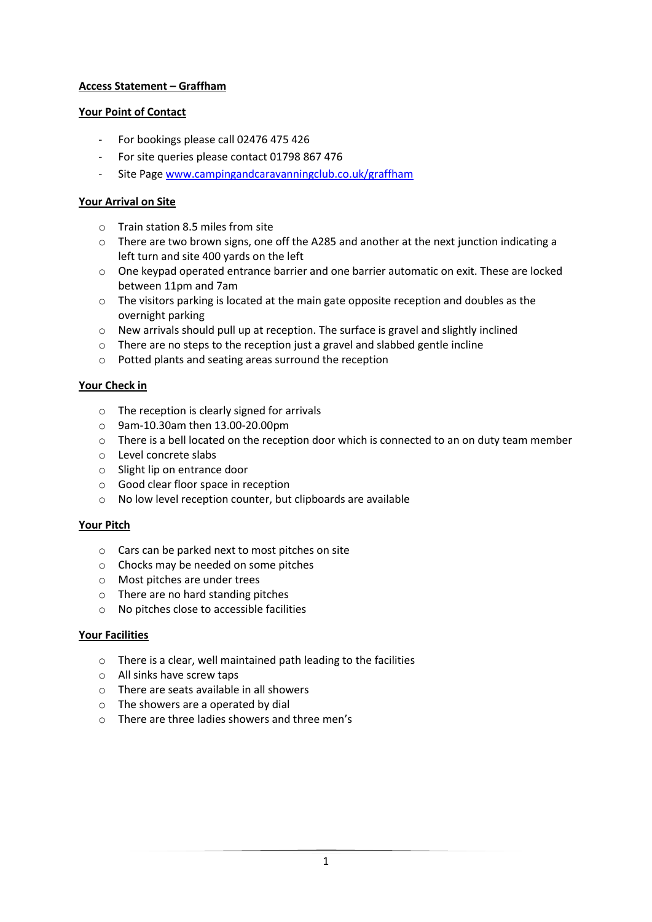# **Access Statement – Graffham**

### **Your Point of Contact**

- For bookings please call 02476 475 426
- For site queries please contact 01798 867 476
- Site Page [www.campingandcaravanningclub.co.uk/graffham](http://www.campingandcaravanningclub.co.uk/graffham)

# **Your Arrival on Site**

- $\circ$  Train station 8.5 miles from site
- $\circ$  There are two brown signs, one off the A285 and another at the next junction indicating a left turn and site 400 yards on the left
- o One keypad operated entrance barrier and one barrier automatic on exit. These are locked between 11pm and 7am
- $\circ$  The visitors parking is located at the main gate opposite reception and doubles as the overnight parking
- o New arrivals should pull up at reception. The surface is gravel and slightly inclined
- o There are no steps to the reception just a gravel and slabbed gentle incline
- o Potted plants and seating areas surround the reception

# **Your Check in**

- o The reception is clearly signed for arrivals
- o 9am-10.30am then 13.00-20.00pm
- o There is a bell located on the reception door which is connected to an on duty team member
- o Level concrete slabs
- o Slight lip on entrance door
- o Good clear floor space in reception
- o No low level reception counter, but clipboards are available

### **Your Pitch**

- o Cars can be parked next to most pitches on site
- o Chocks may be needed on some pitches
- o Most pitches are under trees
- o There are no hard standing pitches
- o No pitches close to accessible facilities

### **Your Facilities**

- o There is a clear, well maintained path leading to the facilities
- o All sinks have screw taps
- o There are seats available in all showers
- o The showers are a operated by dial
- o There are three ladies showers and three men's